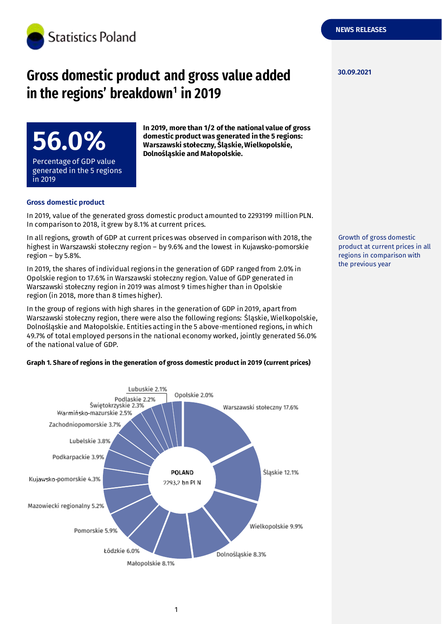

# **Gross domestic product and gross value added in the regions' breakdown<sup>1</sup> in 2019**

**56.0%** Percentage of GDP value generated in the 5 regions in 2019

**In 2019, more than 1/2 of the national value of gross domestic product was generated in the 5 regions: Warszawski stołeczny, Śląskie, Wielkopolskie, Dolnośląskie and Małopolskie.**

### **Gross domestic product**

r.

In 2019, value of the generated gross domestic product amounted to 2293199 million PLN. In comparison to 2018, it grew by 8.1% at current prices.

In all regions, growth of GDP at current prices was observed in comparison with 2018, the highest in Warszawski stołeczny region – by 9.6% and the lowest in Kujawsko-pomorskie region – by 5.8%.

In 2019, the shares of individual regions in the generation of GDP ranged from 2.0% in Opolskie region to 17.6% in Warszawski stołeczny region. Value of GDP generated in Warszawski stołeczny region in 2019 was almost 9 times higher than in Opolskie region (in 2018, more than 8 times higher).

In the group of regions with high shares in the generation of GDP in 2019, apart from Warszawski stołeczny region, there were also the following regions: Śląskie, Wielkopolskie, Dolnośląskie and Małopolskie. Entities acting in the 5 above-mentioned regions, in which 49.7% of total employed persons in the national economy worked, jointly generated 56.0% of the national value of GDP.

### **Graph 1. Share of regions in the generation of gross domestic product in 2019 (current prices)**



Growth of gross domestic product at current prices in all regions in comparison with the previous year

#### **30.09.2021**

**NEWS RELEASES**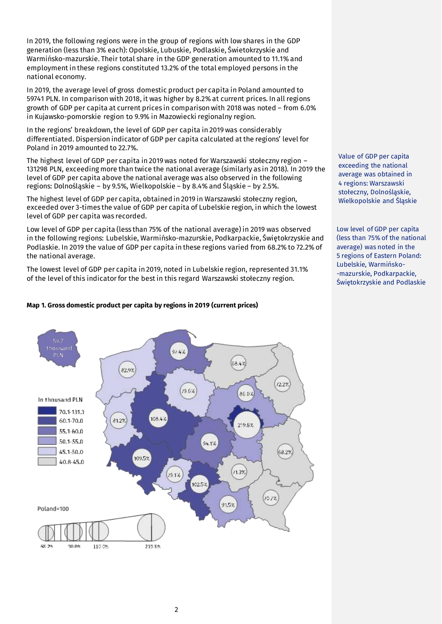In 2019, the following regions were in the group of regions with low shares in the GDP generation (less than 3% each): Opolskie, Lubuskie, Podlaskie, Świetokrzyskie and Warmińsko-mazurskie. Their total share in the GDP generation amounted to 11.1% and employment in these regions constituted 13.2% of the total employed persons in the national economy.

In 2019, the average level of gross domestic product per capita in Poland amounted to 59741 PLN. In comparison with 2018, it was higher by 8.2% at current prices. In all regions growth of GDP per capita at current prices in comparison with 2018 was noted – from 6.0% in Kujawsko-pomorskie region to 9.9% in Mazowiecki regionalny region.

In the regions' breakdown, the level of GDP per capita in 2019 was considerably differentiated. Dispersion indicator of GDP per capita calculated at the regions' level for Poland in 2019 amounted to 22.7%.

The highest level of GDP per capita in 2019 was noted for Warszawski stołeczny region – 131298 PLN, exceeding more than twice the national average (similarly as in 2018). In 2019 the level of GDP per capita above the national average was also observed in the following regions: Dolnośląskie – by 9.5%, Wielkopolskie – by 8.4% and Śląskie – by 2.5%.

The highest level of GDP per capita, obtained in 2019 in Warszawski stołeczny region, exceeded over 3-times the value of GDP per capita of Lubelskie region, in which the lowest level of GDP per capita was recorded.

Low level of GDP per capita (less than 75% of the national average) in 2019 was observed in the following regions: Lubelskie, Warmińsko-mazurskie, Podkarpackie, Świętokrzyskie and Podlaskie. In 2019 the value of GDP per capita in these regions varied from 68.2% to 72.2% of the national average.

The lowest level of GDP per capita in 2019, noted in Lubelskie region, represented 31.1% of the level of this indicator for the best in this regard Warszawski stołeczny region.

### **Map 1. Gross domestic product per capita by regions in 2019 (current prices)**



Value of GDP per capita exceeding the national average was obtained in 4 regions: Warszawski stołeczny, Dolnośląskie, Wielkopolskie and Śląskie

Low level of GDP per capita (less than 75% of the national average) was noted in the 5 regions of Eastern Poland: Lubelskie, Warmińsko- -mazurskie, Podkarpackie, Świętokrzyskie and Podlaskie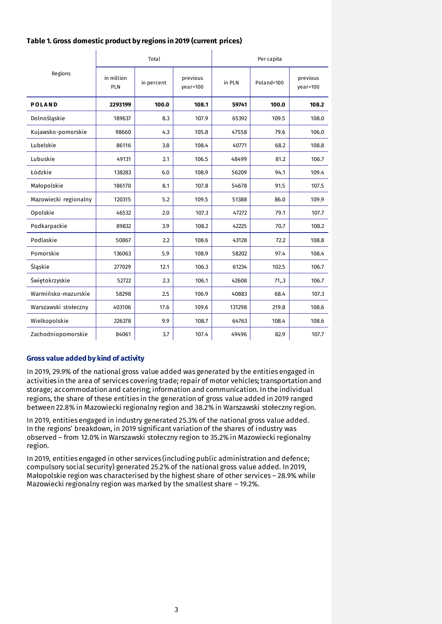| Table 1. Gross domestic product by regions in 2019 (current prices) |  |  |  |  |  |
|---------------------------------------------------------------------|--|--|--|--|--|
|---------------------------------------------------------------------|--|--|--|--|--|

 $\mathbf{I}$ 

|                       |                   | Total      |                      | Per capita |            |                      |  |
|-----------------------|-------------------|------------|----------------------|------------|------------|----------------------|--|
| Regions               | in million<br>PLN | in percent | previous<br>year=100 | in PLN     | Poland=100 | previous<br>year=100 |  |
| <b>POLAND</b>         | 2293199           | 100.0      | 108.1                | 59741      | 100.0      | 108.2                |  |
| Dolnośląskie          | 189637            | 8.3        | 107.9                | 65392      | 109.5      | 108.0                |  |
| Kujawsko-pomorskie    | 98660             | 4.3        | 105.8                | 47558      | 79.6       | 106.0                |  |
| Lubelskie             | 86116             | 3.8        | 108.4                | 40771      | 68.2       | 108.8                |  |
| Lubuskie              | 49131             | 2.1        | 106.5                | 48499      | 81.2       | 106.7                |  |
| Łódzkie               | 138283            | 6.0        | 108.9                | 56209      | 94.1       | 109.4                |  |
| Małopolskie           | 186170            | 8.1        | 107.8                | 54678      | 91.5       | 107.5                |  |
| Mazowiecki regionalny | 120315            | 5.2        | 109.5                | 51388      | 86.0       | 109.9                |  |
| Opolskie              | 46532             | 2.0        | 107.3                | 47272      | 79.1       | 107.7                |  |
| Podkarpackie          | 89832             | 3.9        | 108.2                | 42225      | 70.7       | 108.2                |  |
| Podlaskie             | 50867             | 2.2        | 108.6                | 43128      | 72.2       | 108.8                |  |
| Pomorskie             | 136063            | 5.9        | 108.9                | 58202      | 97.4       | 108.4                |  |
| Śląskie               | 277029            | 12.1       | 106.3                | 61234      | 102.5      | 106.7                |  |
| Świętokrzyskie        | 52722             | 2.3        | 106.1                | 42608      | 71,3       | 106.7                |  |
| Warmińsko-mazurskie   | 58298             | 2.5        | 106.9                | 40883      | 68.4       | 107.3                |  |
| Warszawski stołeczny  | 403106            | 17.6       | 109.6                | 131298     | 219.8      | 108.6                |  |
| Wielkopolskie         | 226378            | 9.9        | 108.7                | 64763      | 108.4      | 108.6                |  |
| Zachodniopomorskie    | 84061             | 3.7        | 107.4                | 49496      | 82.9       | 107.7                |  |

 $\mathbf{I}$ 

### **Gross value added by kind of activity**

In 2019, 29.9% of the national gross value added was generated by the entities engaged in activities in the area of services covering trade; repair of motor vehicles; transportation and storage; accommodation and catering; information and communication. In the individual regions, the share of these entities in the generation of gross value added in 2019 ranged between 22.8% in Mazowiecki regionalny region and 38.2% in Warszawski stołeczny region.

In 2019, entities engaged in industry generated 25.3% of the national gross value added. In the regions' breakdown, in 2019 significant variation of the shares of industry was observed – from 12.0% in Warszawski stołeczny region to 35.2% in Mazowiecki regionalny region.

In 2019, entities engaged in other services (including public administration and defence; compulsory social security) generated 25.2% of the national gross value added. In 2019, Małopolskie region was characterised by the highest share of other services – 28.9% while Mazowiecki regionalny region was marked by the smallest share – 19.2%.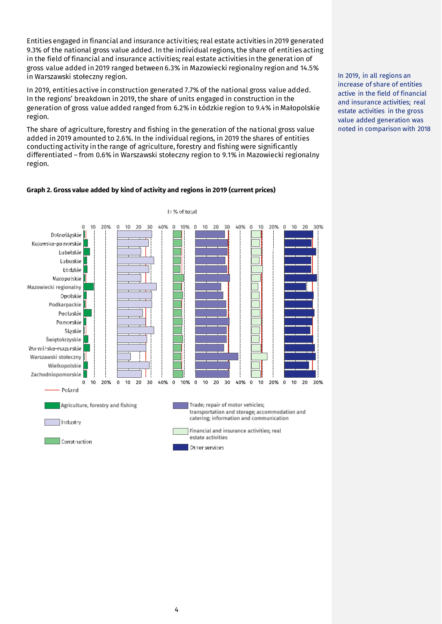Entities engaged in financial and insurance activities; real estate activities in 2019 generated 9.3% of the national gross value added. In the individual regions, the share of entities acting in the field of financial and insurance activities; real estate activities in the generation of gross value added in 2019 ranged between 6.3% in Mazowiecki regionalny region and 14.5% in Warszawski stołeczny region.

In 2019, entities active in construction generated 7.7% of the national gross value added. In the regions' breakdown in 2019, the share of units engaged in construction in the generation of gross value added ranged from 6.2% in Łódzkie region to 9.4% in Małopolskie region.

The share of agriculture, forestry and fishing in the generation of the national gross value added in 2019 amounted to 2.6%. In the individual regions, in 2019 the shares of entities conducting activity in the range of agriculture, forestry and fishing were significantly differentiated – from 0.6% in Warszawski stołeczny region to 9.1% in Mazowiecki regionalny region.





In 2019, in all regions an increase of share of entities active in the field of financial and insurance activities; real estate activities in the gross value added generation was noted in comparison with 2018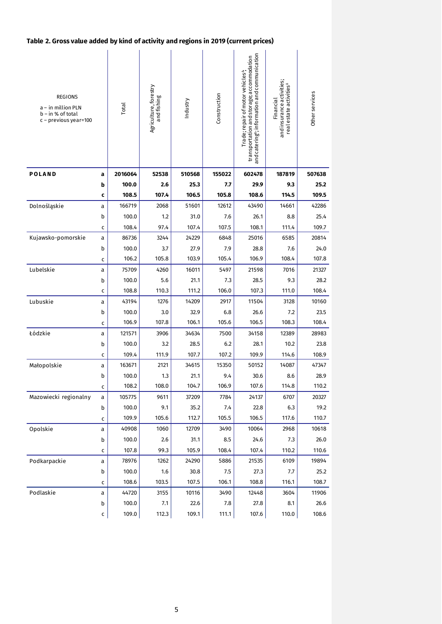# **Table 2. Gross value added by kind of activity and regions in 2019 (current prices)**

| <b>REGIONS</b><br>a - in million PLN<br>$b - in % of total$<br>c - previous year=100 |              | Total   | Agriculture, forestry<br>andfishing | Industry | Construction | and catering <sup>e</sup> ; information and communication<br>transportation and storage; accommodation<br>Trade; repair of motor vehicles <sup>4</sup> ; | and insurance activities;<br>real estate activities <sup>4</sup><br>Financial | Other services |
|--------------------------------------------------------------------------------------|--------------|---------|-------------------------------------|----------|--------------|----------------------------------------------------------------------------------------------------------------------------------------------------------|-------------------------------------------------------------------------------|----------------|
| <b>POLAND</b>                                                                        | a            | 2016064 | 52538                               | 510568   | 155022       | 602478                                                                                                                                                   | 187819                                                                        | 507638         |
|                                                                                      | b            | 100.0   | 2.6                                 | 25.3     | 7.7          | 29.9                                                                                                                                                     | 9.3                                                                           | 25.2           |
|                                                                                      | C            | 108.5   | 107.4                               | 106.5    | 105.8        | 108.6                                                                                                                                                    | 114.5                                                                         | 109.5          |
| Dolnośląskie                                                                         | а            | 166719  | 2068                                | 51601    | 12612        | 43490                                                                                                                                                    | 14661                                                                         | 42286          |
|                                                                                      | b            | 100.0   | 1.2                                 | 31.0     | 7.6          | 26.1                                                                                                                                                     | 8.8                                                                           | 25.4           |
|                                                                                      | c            | 108.4   | 97.4                                | 107.4    | 107.5        | 108.1                                                                                                                                                    | 111.4                                                                         | 109.7          |
| Kujawsko-pomorskie                                                                   | a            | 86736   | 3244                                | 24229    | 6848         | 25016                                                                                                                                                    | 6585                                                                          | 20814          |
|                                                                                      | b            | 100.0   | 3.7                                 | 27.9     | 7.9          | 28.8                                                                                                                                                     | 7.6                                                                           | 24.0           |
|                                                                                      | c            | 106.2   | 105.8                               | 103.9    | 105.4        | 106.9                                                                                                                                                    | 108.4                                                                         | 107.8          |
| Lubelskie                                                                            | a            | 75709   | 4260                                | 16011    | 5497         | 21598                                                                                                                                                    | 7016                                                                          | 21327          |
|                                                                                      | b            | 100.0   | 5.6                                 | 21.1     | 7.3          | 28.5                                                                                                                                                     | 9.3                                                                           | 28.2           |
|                                                                                      | $\mathsf{C}$ | 108.8   | 110.3                               | 111.2    | 106.0        | 107.3                                                                                                                                                    | 111.0                                                                         | 108.4          |
| Lubuskie                                                                             | a            | 43194   | 1276                                | 14209    | 2917         | 11504                                                                                                                                                    | 3128                                                                          | 10160          |
|                                                                                      | b            | 100.0   | 3.0                                 | 32.9     | 6.8          | 26.6                                                                                                                                                     | 7.2                                                                           | 23.5           |
|                                                                                      | c            | 106.9   | 107.8                               | 106.1    | 105.6        | 106.5                                                                                                                                                    | 108.3                                                                         | 108.4          |
| Łódzkie                                                                              | a            | 121571  | 3906                                | 34634    | 7500         | 34158                                                                                                                                                    | 12389                                                                         | 28983          |
|                                                                                      | b            | 100.0   | 3.2                                 | 28.5     | 6.2          | 28.1                                                                                                                                                     | 10.2                                                                          | 23.8           |
|                                                                                      | C            | 109.4   | 111.9                               | 107.7    | 107.2        | 109.9                                                                                                                                                    | 114.6                                                                         | 108.9          |
| Małopolskie                                                                          | а            | 163671  | 2121                                | 34615    | 15350        | 50152                                                                                                                                                    | 14087                                                                         | 47347          |
|                                                                                      | b            | 100.0   | 1.3                                 | 21.1     | 9.4          | 30.6                                                                                                                                                     | 8.6                                                                           | 28.9           |
|                                                                                      | C            | 108.2   | 108.0                               | 104.7    | 106.9        | 107.6                                                                                                                                                    | 114.8                                                                         | 110.2          |
| Mazowiecki regionalny                                                                | a            | 105775  | 9611                                | 37209    | 7784         | 24137                                                                                                                                                    | 6707                                                                          | 20327          |
|                                                                                      | b            | 100.0   | 9.1                                 | 35.2     | 7.4          | 22.8                                                                                                                                                     | 6.3                                                                           | 19.2           |
|                                                                                      | C            | 109.9   | 105.6                               | 112.7    | 105.5        | 106.5                                                                                                                                                    | 117.6                                                                         | 110.7          |
| Opolskie                                                                             | a            | 40908   | 1060                                | 12709    | 3490         | 10064                                                                                                                                                    | 2968                                                                          | 10618          |
|                                                                                      | b            | 100.0   | 2.6                                 | 31.1     | 8.5          | 24.6                                                                                                                                                     | 7.3                                                                           | 26.0           |
|                                                                                      | с            | 107.8   | 99.3                                | 105.9    | 108.4        | 107.4                                                                                                                                                    | 110.2                                                                         | 110.6          |
| Podkarpackie                                                                         | а            | 78976   | 1262                                | 24290    | 5886         | 21535                                                                                                                                                    | 6109                                                                          | 19894          |
|                                                                                      | b            | 100.0   | 1.6                                 | 30.8     | 7.5          | 27.3                                                                                                                                                     | 7.7                                                                           | 25.2           |
|                                                                                      | C            | 108.6   | 103.5                               | 107.5    | 106.1        | 108.8                                                                                                                                                    | 116.1                                                                         | 108.7          |
| Podlaskie                                                                            | a            | 44720   | 3155                                | 10116    | 3490         | 12448                                                                                                                                                    | 3604                                                                          | 11906          |
|                                                                                      | b            | 100.0   | 7.1                                 | 22.6     | 7.8          | 27.8                                                                                                                                                     | 8.1                                                                           | 26.6           |
|                                                                                      | c            | 109.0   | 112.3                               | 109.1    | 111.1        | 107.6                                                                                                                                                    | 110.0                                                                         | 108.6          |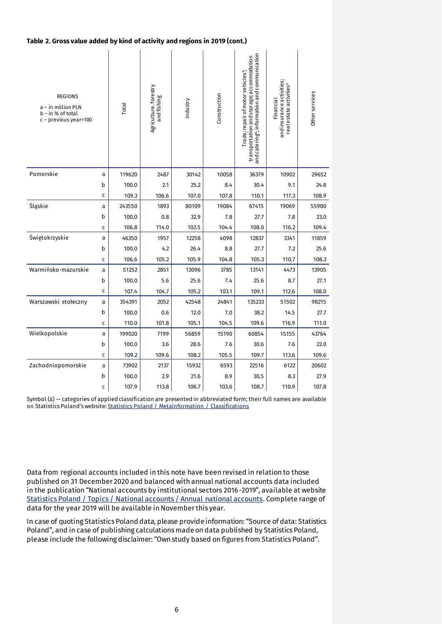### **Table 2. Gross value added by kind of activity and regions in 2019 (cont.)**

| <b>REGIONS</b><br>a - in million PLN<br>$b - in % of total$<br>$c$ – previous year=100 |              | Total  | Agriculture.forestry<br>andfishing | Industry | Construction | and catering <sup>4</sup> ; information and communication<br>transportation and storage; accommodation<br>Trade; repair of motor vehicles <sup>4</sup> , | and insurance activities;<br>real estate activities <sup>4</sup><br>Financial | Other services |
|----------------------------------------------------------------------------------------|--------------|--------|------------------------------------|----------|--------------|----------------------------------------------------------------------------------------------------------------------------------------------------------|-------------------------------------------------------------------------------|----------------|
| Pomorskie                                                                              | a            | 119620 | 2487                               | 30142    | 10058        | 36379                                                                                                                                                    | 10902                                                                         | 29652          |
|                                                                                        | b            | 100.0  | 2.1                                | 25.2     | 8.4          | 30.4                                                                                                                                                     | 9.1                                                                           | 24.8           |
|                                                                                        | c            | 109.3  | 106.6                              | 107.0    | 107.8        | 110.1                                                                                                                                                    | 117.3                                                                         | 108.9          |
| Śląskie                                                                                | a            | 243550 | 1893                               | 80109    | 19084        | 67415                                                                                                                                                    | 19069                                                                         | 55980          |
|                                                                                        | b            | 100.0  | 0.8                                | 32.9     | 7.8          | 27.7                                                                                                                                                     | 7.8                                                                           | 23.0           |
|                                                                                        | c            | 106.8  | 114.0                              | 102.5    | 104.4        | 108.0                                                                                                                                                    | 116.2                                                                         | 109.4          |
| Świętokrzyskie                                                                         | a            | 46350  | 1957                               | 12258    | 4098         | 12837                                                                                                                                                    | 3341                                                                          | 11859          |
|                                                                                        | b            | 100.0  | 4.2                                | 26.4     | 8.8          | 27.7                                                                                                                                                     | 7.2                                                                           | 25.6           |
|                                                                                        | C            | 106.6  | 105.2                              | 105.9    | 104.8        | 105.3                                                                                                                                                    | 110.7                                                                         | 108.3          |
| Warmińsko-mazurskie                                                                    | a            | 51252  | 2851                               | 13096    | 3785         | 13141                                                                                                                                                    | 4473                                                                          | 13905          |
|                                                                                        | b            | 100.0  | 5.6                                | 25.6     | 7.4          | 25.6                                                                                                                                                     | 8.7                                                                           | 27.1           |
|                                                                                        | C            | 107.4  | 104.7                              | 105.2    | 103.1        | 109.1                                                                                                                                                    | 112.6                                                                         | 108.0          |
| Warszawski stołeczny                                                                   | a            | 354391 | 2052                               | 42548    | 24841        | 135233                                                                                                                                                   | 51502                                                                         | 98215          |
|                                                                                        | b            | 100.0  | 0.6                                | 12.0     | 7.0          | 38.2                                                                                                                                                     | 14.5                                                                          | 27.7           |
|                                                                                        | $\mathsf{C}$ | 110.0  | 101.8                              | 105.1    | 104.5        | 109.6                                                                                                                                                    | 116.9                                                                         | 111.0          |
| Wielkopolskie                                                                          | a            | 199020 | 7199                               | 56859    | 15190        | 60854                                                                                                                                                    | 15155                                                                         | 43764          |
|                                                                                        | b            | 100.0  | 3.6                                | 28.6     | 7.6          | 30.6                                                                                                                                                     | 7.6                                                                           | 22.0           |
|                                                                                        | C            | 109.2  | 109.6                              | 108.2    | 105.5        | 109.7                                                                                                                                                    | 113.6                                                                         | 109.6          |
| Zachodniopomorskie                                                                     | a            | 73902  | 2137                               | 15932    | 6593         | 22516                                                                                                                                                    | 6122                                                                          | 20602          |
|                                                                                        | b            | 100.0  | 2.9                                | 21.6     | 8.9          | 30.5                                                                                                                                                     | 8.3                                                                           | 27.9           |
|                                                                                        | $\mathsf{C}$ | 107.9  | 113.8                              | 106.7    | 103.6        | 108.7                                                                                                                                                    | 110.9                                                                         | 107.8          |

Symbol (∆) — categories of applied classification are presented in abbreviated form; their full names are available on Statistics Poland's website[: Statistics Poland / Metainformation / Classifications](https://stat.gov.pl/en/metainformation/classifications/#Polish%20Classification%20of%20Activities%20(PKD))

Data from regional accounts included in this note have been revised in relation to those published on 31 December 2020 and balanced with annual national accounts data included in the publication "National accounts by institutional sectors 2016-2019", available at website [Statistics Poland / Topics / National accounts / Annual national accounts.](https://stat.gov.pl/en/topics/national-accounts/annual-national-accounts/national-accounts-by-institutional-sectors-20162019,2,15.html) Complete range of data for the year 2019 will be available in November this year.

In case of quoting Statistics Poland data, please provide information: "Source of data: Statistics Poland", and in case of publishing calculations made on data published by Statistics Poland, please include the following disclaimer: "Own study based on figures from Statistics Poland".